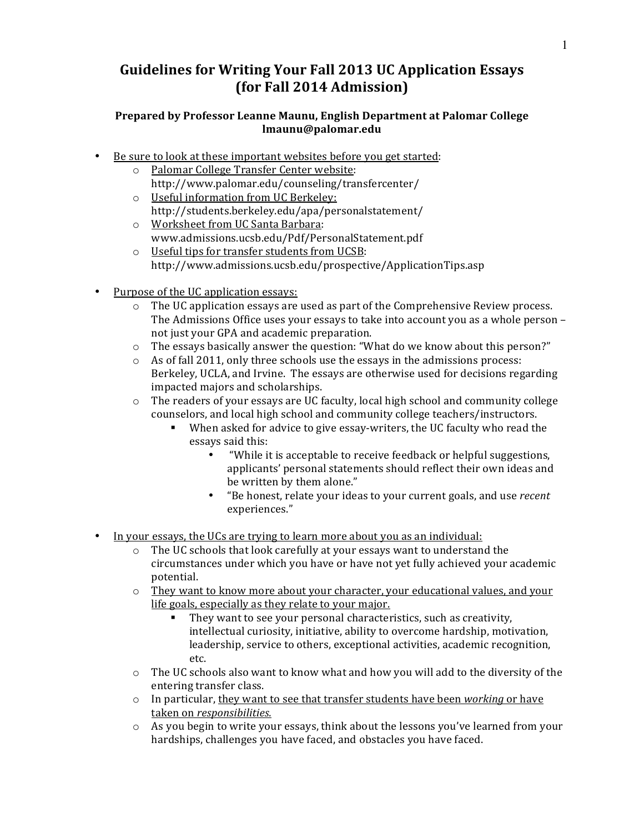## Guidelines for Writing Your Fall 2013 UC Application Essays **(for Fall 2014 Admission)**

## Prepared by Professor Leanne Maunu, English Department at Palomar College **lmaunu@palomar.edu**

- Be sure to look at these important websites before you get started:
	- o Palomar College Transfer Center website: http://www.palomar.edu/counseling/transfercenter/
	- o Useful information from UC Berkeley: http://students.berkeley.edu/apa/personalstatement/
	- o Worksheet from UC Santa Barbara: www.admissions.ucsb.edu/Pdf/PersonalStatement.pdf
	- o Useful tips for transfer students from UCSB: http://www.admissions.ucsb.edu/prospective/ApplicationTips.asp
- Purpose of the UC application essays:
	- $\circ$  The UC application essays are used as part of the Comprehensive Review process. The Admissions Office uses your essays to take into account you as a whole person – not just your GPA and academic preparation.
	- $\circ$  The essays basically answer the question: "What do we know about this person?"
	- $\circ$  As of fall 2011, only three schools use the essays in the admissions process: Berkeley, UCLA, and Irvine. The essays are otherwise used for decisions regarding impacted majors and scholarships.
	- $\circ$  The readers of your essays are UC faculty, local high school and community college counselors, and local high school and community college teachers/instructors.
		- When asked for advice to give essay-writers, the UC faculty who read the essays said this:
			- "While it is acceptable to receive feedback or helpful suggestions, applicants' personal statements should reflect their own ideas and be written by them alone."
			- "Be honest, relate your ideas to your current goals, and use *recent* experiences."
- In your essays, the UCs are trying to learn more about you as an individual:
	- o The UC schools that look carefully at your essays want to understand the circumstances under which you have or have not yet fully achieved your academic potential.
	- $\circ$  They want to know more about your character, your educational values, and your life goals, especially as they relate to your major.
		- $\blacksquare$  They want to see your personal characteristics, such as creativity, intellectual curiosity, initiative, ability to overcome hardship, motivation, leadership, service to others, exceptional activities, academic recognition, etc.
	- $\circ$  The UC schools also want to know what and how you will add to the diversity of the entering transfer class.
	- o In particular, they want to see that transfer students have been *working* or have taken on *responsibilities.*
	- $\circ$  As you begin to write your essays, think about the lessons you've learned from your hardships, challenges you have faced, and obstacles you have faced.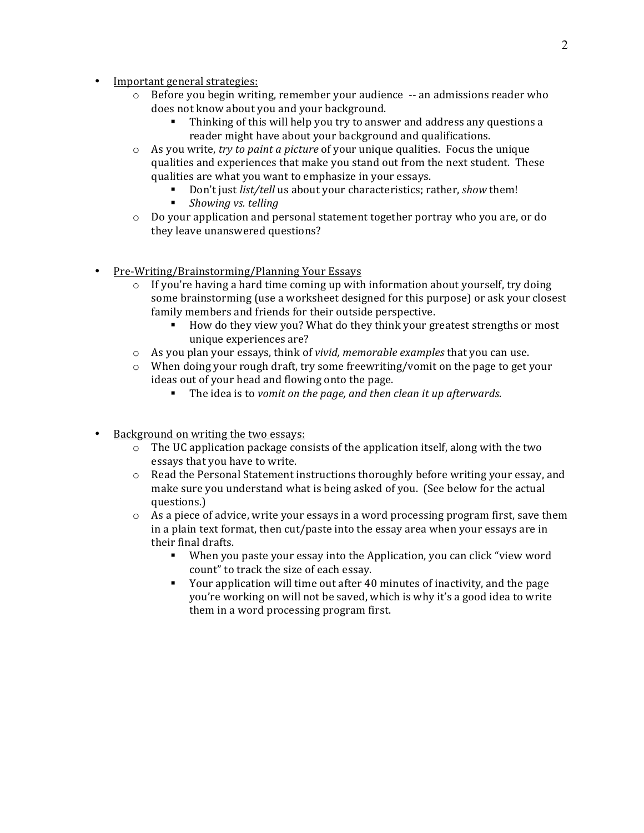- Important general strategies:
	- $\circ$  Before you begin writing, remember your audience  $-$  an admissions reader who does not know about you and your background.
		- Thinking of this will help you try to answer and address any questions a reader might have about your background and qualifications.
	- $\circ$  As you write, *try to paint a picture* of your unique qualities. Focus the unique qualities and experiences that make you stand out from the next student. These qualities are what you want to emphasize in your essays.
		- Don't just *list/tell* us about your characteristics; rather, *show* them!
		- *Showing vs. telling*
	- $\circ$  Do your application and personal statement together portray who you are, or do they leave unanswered questions?
- Pre-Writing/Brainstorming/Planning Your Essays
	- $\circ$  If you're having a hard time coming up with information about yourself, try doing some brainstorming (use a worksheet designed for this purpose) or ask your closest family members and friends for their outside perspective.
		- How do they view you? What do they think your greatest strengths or most unique experiences are?
	- $\circ$  As you plan your essays, think of *vivid, memorable examples* that you can use.
	- $\circ$  When doing your rough draft, try some freewriting/vomit on the page to get your ideas out of your head and flowing onto the page.
		- The idea is to *vomit on the page, and then clean it up afterwards.*
- Background on writing the two essays:
	- $\circ$  The UC application package consists of the application itself, along with the two essays that you have to write.
	- o Read the Personal Statement instructions thoroughly before writing your essay, and make sure you understand what is being asked of you. (See below for the actual questions.)
	- $\circ$  As a piece of advice, write your essays in a word processing program first, save them in a plain text format, then  $cut/$  paste into the essay area when your essays are in their final drafts.
		- When you paste your essay into the Application, you can click "view word count" to track the size of each essay.
		- Your application will time out after 40 minutes of inactivity, and the page you're working on will not be saved, which is why it's a good idea to write them in a word processing program first.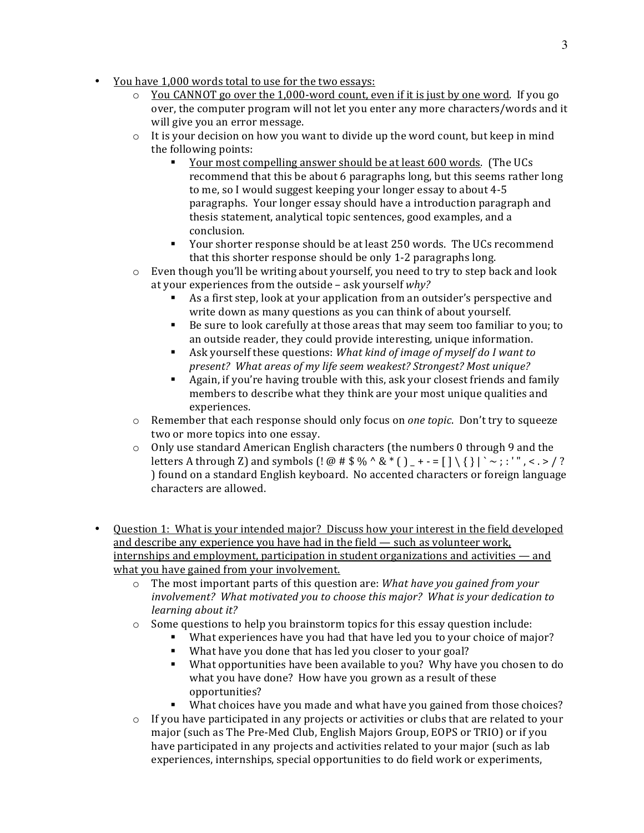- You have 1,000 words total to use for the two essays:
	- $\circ$  You CANNOT go over the 1,000-word count, even if it is just by one word. If you go over, the computer program will not let you enter any more characters/words and it will give you an error message.
	- $\circ$  It is your decision on how you want to divide up the word count, but keep in mind the following points:
		- Your most compelling answer should be at least 600 words. (The UCs recommend that this be about 6 paragraphs long, but this seems rather long to me, so I would suggest keeping your longer essay to about 4-5 paragraphs. Your longer essay should have a introduction paragraph and thesis statement, analytical topic sentences, good examples, and a conclusion.
		- Your shorter response should be at least 250 words. The UCs recommend that this shorter response should be only 1-2 paragraphs long.
	- $\circ$  Even though you'll be writing about yourself, you need to try to step back and look at your experiences from the outside – ask yourself  $why$ ?
		- As a first step, look at your application from an outsider's perspective and write down as many questions as you can think of about yourself.
		- Be sure to look carefully at those areas that may seem too familiar to you; to an outside reader, they could provide interesting, unique information.
		- Ask yourself these questions: *What kind of image of myself do I want to present? What areas of my life seem weakest? Strongest? Most unique?*
		- Again, if you're having trouble with this, ask your closest friends and family members to describe what they think are your most unique qualities and experiences.
	- $\circ$  Remember that each response should only focus on *one topic*. Don't try to squeeze two or more topics into one essay.
	- $\circ$  Only use standard American English characters (the numbers 0 through 9 and the letters A through Z) and symbols  $\left($ !  $\omega$  #  $\frac{6}{3}$   $\frac{6}{3}$   $\frac{8}{3}$   $\left($   $\frac{1}{2}$  + - =  $\left[$   $\frac{1}{2}$   $\right]$   $\frac{1}{2}$   $\cdots$  ;  $\frac{1}{2}$   $\cdots$  ,  $\frac{1}{2}$   $\cdots$ ) found on a standard English keyboard. No accented characters or foreign language characters are allowed.
- Ouestion 1: What is your intended major? Discuss how your interest in the field developed and describe any experience you have had in the field  $-$  such as volunteer work,  $internships$  and employment, participation in student organizations and activities — and what you have gained from your involvement.
	- o The most important parts of this question are: *What have you gained from your involvement?* What motivated you to choose this major? What is your dedication to *learning about it?*
	- $\circ$  Some questions to help you brainstorm topics for this essay question include:
		- What experiences have you had that have led you to your choice of major?
		- What have you done that has led you closer to your goal?
		- What opportunities have been available to you? Why have you chosen to do what you have done? How have you grown as a result of these opportunities?
		- What choices have you made and what have you gained from those choices?
	- $\circ$  If you have participated in any projects or activities or clubs that are related to your major (such as The Pre-Med Club, English Majors Group, EOPS or TRIO) or if you have participated in any projects and activities related to your major (such as lab experiences, internships, special opportunities to do field work or experiments,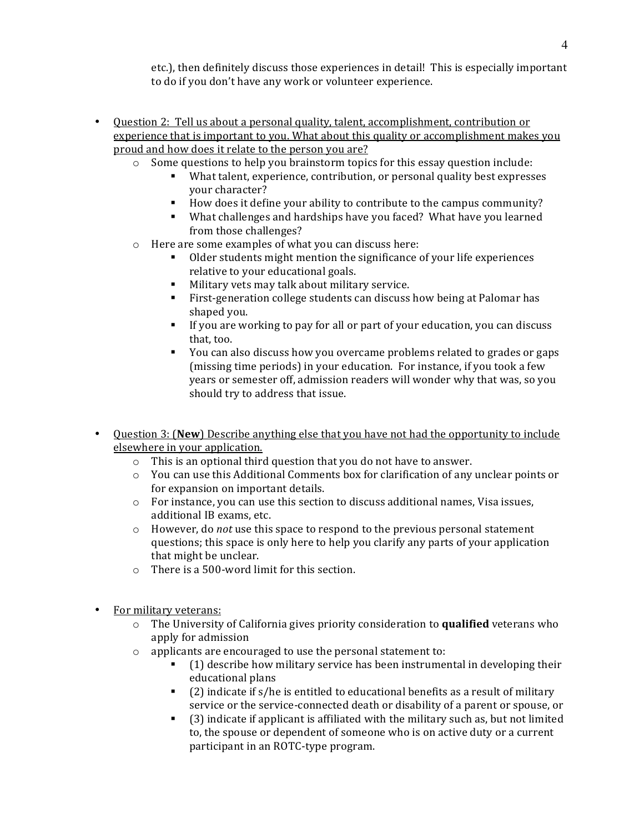etc.), then definitely discuss those experiences in detail! This is especially important to do if you don't have any work or volunteer experience.

- Question 2: Tell us about a personal quality, talent, accomplishment, contribution or experience that is important to you. What about this quality or accomplishment makes you proud and how does it relate to the person you are?
	- $\circ$  Some questions to help you brainstorm topics for this essay question include:
		- What talent, experience, contribution, or personal quality best expresses your character?
		- How does it define your ability to contribute to the campus community?
		- What challenges and hardships have you faced? What have you learned from those challenges?
	- $\circ$  Here are some examples of what you can discuss here:
		- Older students might mention the significance of your life experiences relative to your educational goals.
		- Military vets may talk about military service.
		- First-generation college students can discuss how being at Palomar has shaped you.
		- If you are working to pay for all or part of your education, you can discuss that, too.
		- You can also discuss how you overcame problems related to grades or gaps (missing time periods) in your education. For instance, if you took a few years or semester off, admission readers will wonder why that was, so you should try to address that issue.
- Question 3: (New) Describe anything else that you have not had the opportunity to include elsewhere in your application.
	- $\circ$  This is an optional third question that you do not have to answer.
	- $\circ$  You can use this Additional Comments box for clarification of any unclear points or for expansion on important details.
	- $\circ$  For instance, you can use this section to discuss additional names, Visa issues, additional IB exams, etc.
	- $\circ$  However, do *not* use this space to respond to the previous personal statement questions; this space is only here to help you clarify any parts of your application that might be unclear.
	- $\circ$  There is a 500-word limit for this section.
- For military veterans:
	- $\circ$  The University of California gives priority consideration to **qualified** veterans who apply for admission
	- $\circ$  applicants are encouraged to use the personal statement to:
		- (1) describe how military service has been instrumental in developing their educational plans
		- $\blacksquare$  (2) indicate if s/he is entitled to educational benefits as a result of military service or the service-connected death or disability of a parent or spouse, or
		- (3) indicate if applicant is affiliated with the military such as, but not limited to, the spouse or dependent of someone who is on active duty or a current participant in an ROTC-type program.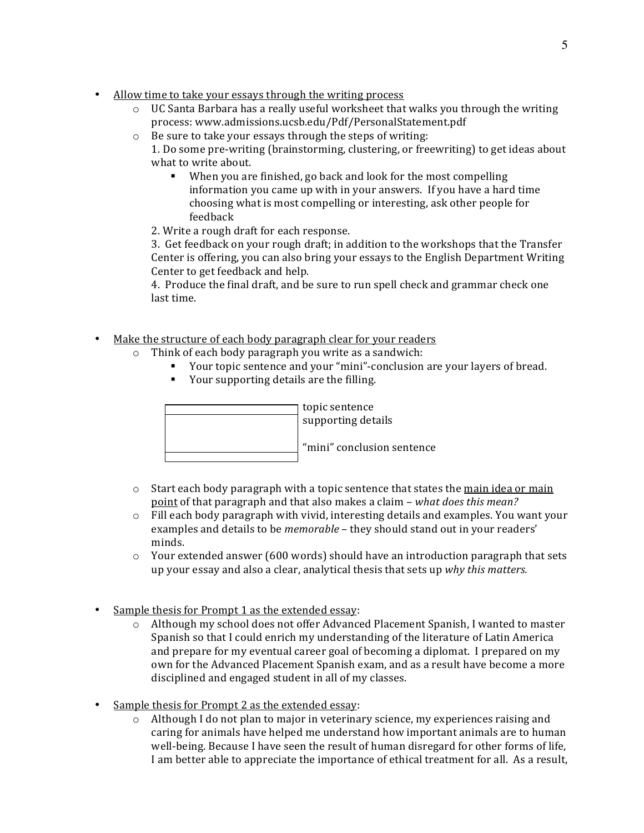- Allow time to take your essays through the writing process
	- $\circ$  UC Santa Barbara has a really useful worksheet that walks you through the writing process: www.admissions.ucsb.edu/Pdf/PersonalStatement.pdf
	- $\circ$  Be sure to take vour essays through the steps of writing:
		- 1. Do some pre-writing (brainstorming, clustering, or freewriting) to get ideas about what to write about.
			- When you are finished, go back and look for the most compelling information you came up with in your answers. If you have a hard time choosing what is most compelling or interesting, ask other people for feedback
			- 2. Write a rough draft for each response.

3. Get feedback on your rough draft; in addition to the workshops that the Transfer Center is offering, you can also bring your essays to the English Department Writing Center to get feedback and help.

4. Produce the final draft, and be sure to run spell check and grammar check one last time.

- Make the structure of each body paragraph clear for your readers
	- $\circ$  Think of each body paragraph you write as a sandwich:
		- Vour topic sentence and your "mini"-conclusion are your layers of bread.
		- Your supporting details are the filling.

topic sentence supporting details "mini" conclusion sentence

- $\circ$  Start each body paragraph with a topic sentence that states the main idea or main point of that paragraph and that also makes a claim – *what does this mean?*
- $\circ$  Fill each body paragraph with vivid, interesting details and examples. You want your examples and details to be *memorable* – they should stand out in your readers' minds.
- $\circ$  Your extended answer (600 words) should have an introduction paragraph that sets up your essay and also a clear, analytical thesis that sets up *why this matters.*
- Sample thesis for Prompt 1 as the extended essay:
	- $\circ$  Although my school does not offer Advanced Placement Spanish, I wanted to master Spanish so that I could enrich my understanding of the literature of Latin America and prepare for my eventual career goal of becoming a diplomat. I prepared on my own for the Advanced Placement Spanish exam, and as a result have become a more disciplined and engaged student in all of my classes.
- Sample thesis for Prompt 2 as the extended essay:
	- $\circ$  Although I do not plan to major in veterinary science, my experiences raising and caring for animals have helped me understand how important animals are to human well-being. Because I have seen the result of human disregard for other forms of life, I am better able to appreciate the importance of ethical treatment for all. As a result,